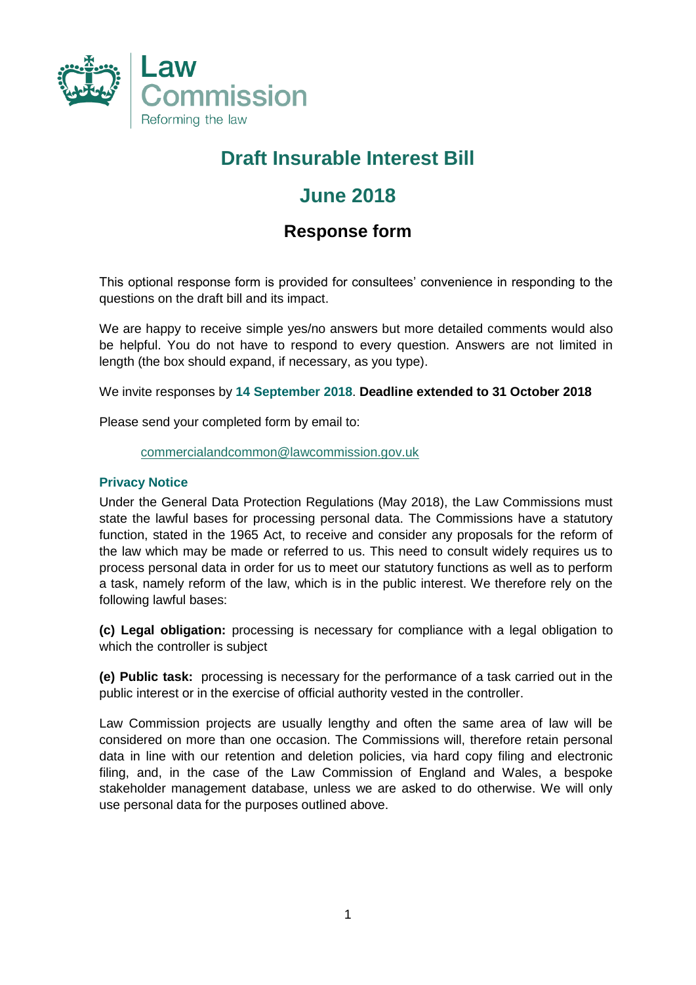

# **Draft Insurable Interest Bill**

### **June 2018**

### **Response form**

This optional response form is provided for consultees' convenience in responding to the questions on the draft bill and its impact.

We are happy to receive simple yes/no answers but more detailed comments would also be helpful. You do not have to respond to every question. Answers are not limited in length (the box should expand, if necessary, as you type).

We invite responses by **14 September 2018**. **Deadline extended to 31 October 2018**

Please send your completed form by email to:

#### [commercialandcommon@lawcommission.gov.uk](mailto:commercialandcommon@lawcommission.gov.uk)

### **Privacy Notice**

Under the General Data Protection Regulations (May 2018), the Law Commissions must state the lawful bases for processing personal data. The Commissions have a statutory function, stated in the 1965 Act, to receive and consider any proposals for the reform of the law which may be made or referred to us. This need to consult widely requires us to process personal data in order for us to meet our statutory functions as well as to perform a task, namely reform of the law, which is in the public interest. We therefore rely on the following lawful bases:

**(c) Legal obligation:** processing is necessary for compliance with a legal obligation to which the controller is subject

**(e) Public task:** processing is necessary for the performance of a task carried out in the public interest or in the exercise of official authority vested in the controller.

Law Commission projects are usually lengthy and often the same area of law will be considered on more than one occasion. The Commissions will, therefore retain personal data in line with our retention and deletion policies, via hard copy filing and electronic filing, and, in the case of the Law Commission of England and Wales, a bespoke stakeholder management database, unless we are asked to do otherwise. We will only use personal data for the purposes outlined above.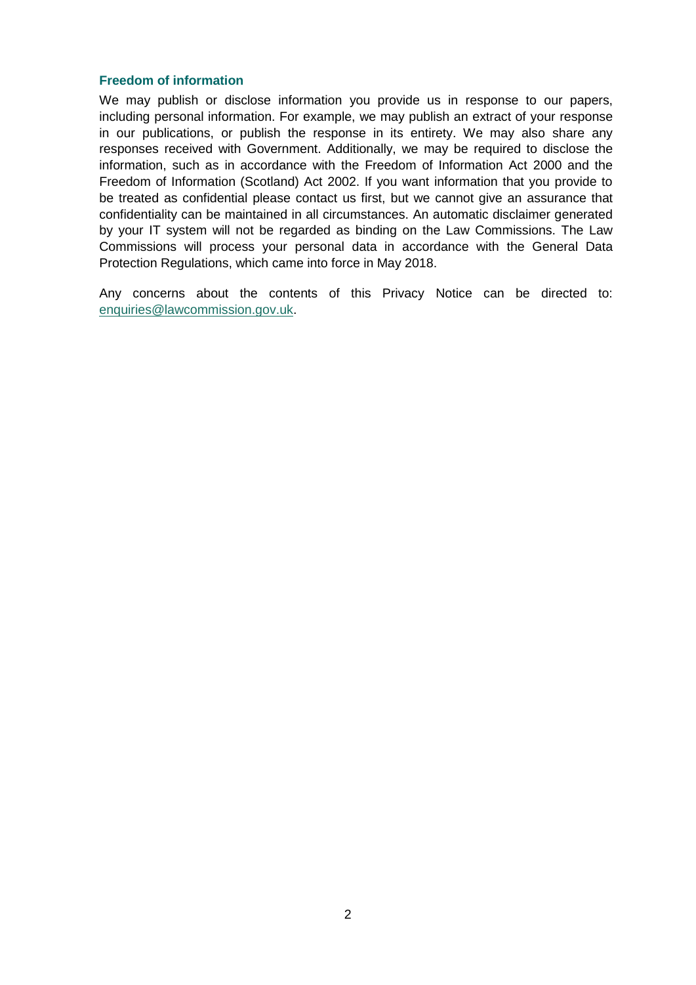#### **Freedom of information**

We may publish or disclose information you provide us in response to our papers, including personal information. For example, we may publish an extract of your response in our publications, or publish the response in its entirety. We may also share any responses received with Government. Additionally, we may be required to disclose the information, such as in accordance with the Freedom of Information Act 2000 and the Freedom of Information (Scotland) Act 2002. If you want information that you provide to be treated as confidential please contact us first, but we cannot give an assurance that confidentiality can be maintained in all circumstances. An automatic disclaimer generated by your IT system will not be regarded as binding on the Law Commissions. The Law Commissions will process your personal data in accordance with the General Data Protection Regulations, which came into force in May 2018.

Any concerns about the contents of this Privacy Notice can be directed to: [enquiries@lawcommission.gov.uk.](mailto:enquiries@lawcommission.gov.uk)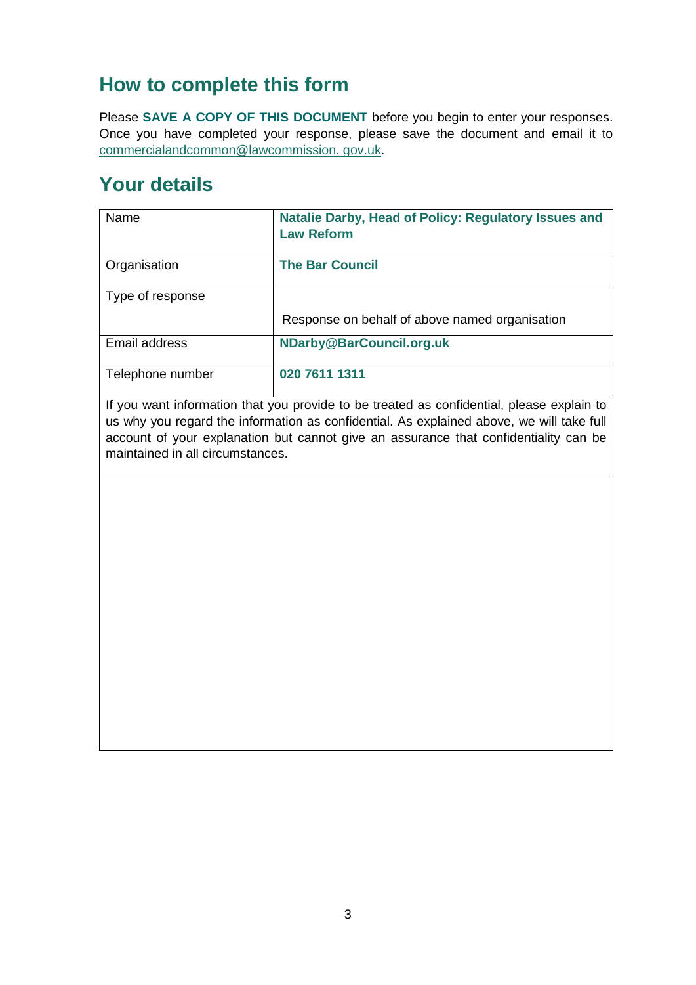# **How to complete this form**

Please **SAVE A COPY OF THIS DOCUMENT** before you begin to enter your responses. Once you have completed your response, please save the document and email it to [commercialandcommon@lawcommission. gov.uk.](mailto:bills_of_sale@lawcommission.gsi.gov.uk)

## **Your details**

| Name             | Natalie Darby, Head of Policy: Regulatory Issues and<br><b>Law Reform</b> |
|------------------|---------------------------------------------------------------------------|
| Organisation     | <b>The Bar Council</b>                                                    |
| Type of response |                                                                           |
|                  | Response on behalf of above named organisation                            |
| Email address    | NDarby@BarCouncil.org.uk                                                  |
| Telephone number | 020 7611 1311                                                             |

If you want information that you provide to be treated as confidential, please explain to us why you regard the information as confidential. As explained above, we will take full account of your explanation but cannot give an assurance that confidentiality can be maintained in all circumstances.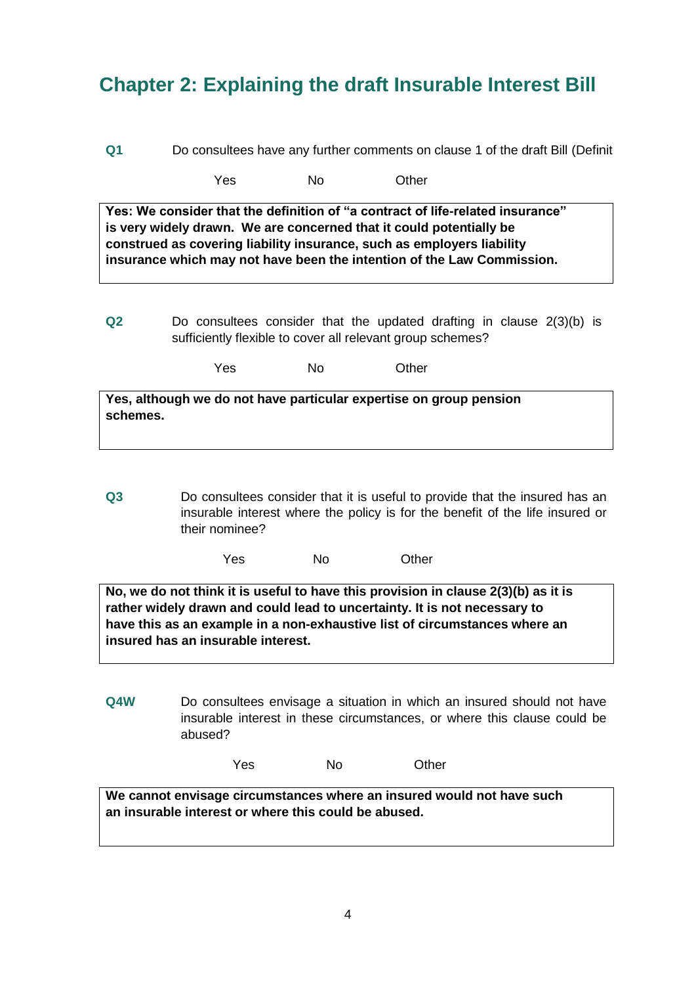# **Chapter 2: Explaining the draft Insurable Interest Bill**

**Q1** Do consultees have any further comments on clause 1 of the draft Bill (Definit

Yes No Other

**Yes: We consider that the definition of "a contract of life-related insurance" is very widely drawn. We are concerned that it could potentially be construed as covering liability insurance, such as employers liability insurance which may not have been the intention of the Law Commission.**

**Q2** Do consultees consider that the updated drafting in clause 2(3)(b) is sufficiently flexible to cover all relevant group schemes?

Yes No Other

| Yes, although we do not have particular expertise on group pension |  |
|--------------------------------------------------------------------|--|
| schemes.                                                           |  |

**Q3** Do consultees consider that it is useful to provide that the insured has an insurable interest where the policy is for the benefit of the life insured or their nominee?

| Yes | No | Other |
|-----|----|-------|
|-----|----|-------|

**No, we do not think it is useful to have this provision in clause 2(3)(b) as it is rather widely drawn and could lead to uncertainty. It is not necessary to have this as an example in a non-exhaustive list of circumstances where an insured has an insurable interest.**

**Q4W** Do consultees envisage a situation in which an insured should not have insurable interest in these circumstances, or where this clause could be abused?

| Yes | No | Other |
|-----|----|-------|
|     |    |       |

**We cannot envisage circumstances where an insured would not have such an insurable interest or where this could be abused.**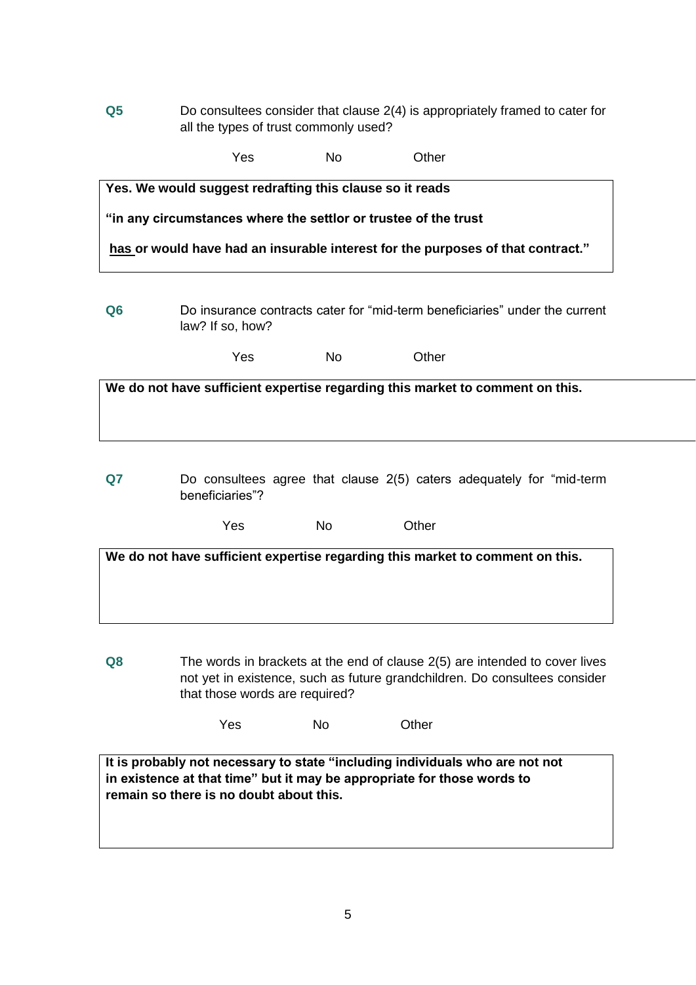**Q5** Do consultees consider that clause 2(4) is appropriately framed to cater for all the types of trust commonly used?

|                | Yes                                                                                                                         | Nο | Other                                                                           |  |
|----------------|-----------------------------------------------------------------------------------------------------------------------------|----|---------------------------------------------------------------------------------|--|
|                | Yes. We would suggest redrafting this clause so it reads<br>"in any circumstances where the settlor or trustee of the trust |    | has or would have had an insurable interest for the purposes of that contract." |  |
| Q <sub>6</sub> | law? If so, how?                                                                                                            |    | Do insurance contracts cater for "mid-term beneficiaries" under the current     |  |

| Yes | No | Other |
|-----|----|-------|
|     |    |       |

**We do not have sufficient expertise regarding this market to comment on this.**

**Q7** Do consultees agree that clause 2(5) caters adequately for "mid-term beneficiaries"?

| Yes | No | Other |
|-----|----|-------|
|     |    |       |

**We do not have sufficient expertise regarding this market to comment on this.**

**Q8** The words in brackets at the end of clause 2(5) are intended to cover lives not yet in existence, such as future grandchildren. Do consultees consider that those words are required?

Yes No Other

**It is probably not necessary to state "including individuals who are not not in existence at that time" but it may be appropriate for those words to remain so there is no doubt about this.**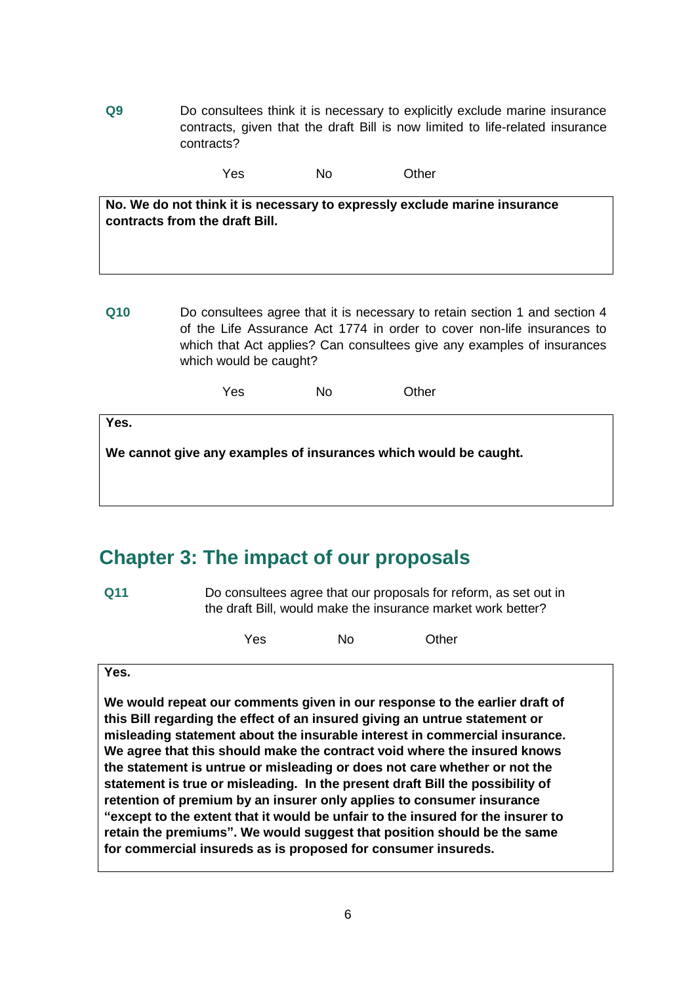**Q9** Do consultees think it is necessary to explicitly exclude marine insurance contracts, given that the draft Bill is now limited to life-related insurance contracts?

Yes No Other

**No. We do not think it is necessary to expressly exclude marine insurance contracts from the draft Bill.**

**Q10** Do consultees agree that it is necessary to retain section 1 and section 4 of the Life Assurance Act 1774 in order to cover non-life insurances to which that Act applies? Can consultees give any examples of insurances which would be caught?

Yes No Other

**Yes.** 

**We cannot give any examples of insurances which would be caught.**

### **Chapter 3: The impact of our proposals**

**Q11** Do consultees agree that our proposals for reform, as set out in the draft Bill, would make the insurance market work better?

Yes No Other

#### **Yes.**

**We would repeat our comments given in our response to the earlier draft of this Bill regarding the effect of an insured giving an untrue statement or misleading statement about the insurable interest in commercial insurance. We agree that this should make the contract void where the insured knows the statement is untrue or misleading or does not care whether or not the statement is true or misleading. In the present draft Bill the possibility of retention of premium by an insurer only applies to consumer insurance "except to the extent that it would be unfair to the insured for the insurer to retain the premiums". We would suggest that position should be the same for commercial insureds as is proposed for consumer insureds.**